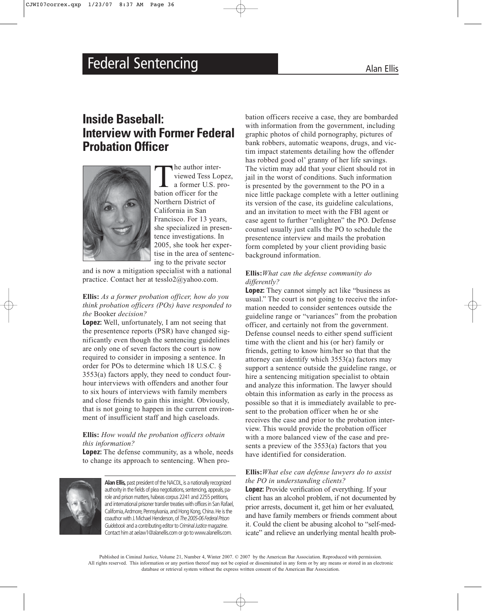# Federal Sentencing **Alan Ellis** Alan Ellis

## **Inside Baseball: Interview with Former Federal Probation Officer**



The author inter-<br>viewed Tess Lo<sub>a</sub><br>a former U.S. p<br>bation officer for the viewed Tess Lopez, a former U.S. pro-Northern District of California in San Francisco. For 13 years, she specialized in presentence investigations. In 2005, she took her expertise in the area of sentencing to the private sector

and is now a mitigation specialist with a national practice. Contact her at tesslo2@yahoo.com.

#### **Ellis:** *As a former probation officer, how do you think probation officers (POs) have responded to the* Booker *decision?*

**Lopez:** Well, unfortunately, I am not seeing that the presentence reports (PSR) have changed significantly even though the sentencing guidelines are only one of seven factors the court is now required to consider in imposing a sentence. In order for POs to determine which 18 U.S.C. § 3553(a) factors apply, they need to conduct fourhour interviews with offenders and another four to six hours of interviews with family members and close friends to gain this insight. Obviously, that is not going to happen in the current environment of insufficient staff and high caseloads.

#### **Ellis:** *How would the probation officers obtain this information?*

**Lopez:** The defense community, as a whole, needs to change its approach to sentencing. When pro-



Alan Ellis, past president of the NACDL, is a nationally recognized authority in the fields of plea negotiations, sentencing, appeals, parole and prison matters, habeas corpus 2241 and 2255 petitions, and international prisoner transfer treaties with offices in San Rafael, California, Ardmore, Pennsylvania, and Hong Kong, China. He is the coauthor with J.Michael Henderson,of *The 2005-06 Federal Prison Guidebook* and a contributing editor to *Criminal Justice*magazine. Contact him at aelaw1@alanellis.com or go to www.alanellis.com.

bation officers receive a case, they are bombarded with information from the government, including graphic photos of child pornography, pictures of bank robbers, automatic weapons, drugs, and victim impact statements detailing how the offender has robbed good ol' granny of her life savings. The victim may add that your client should rot in jail in the worst of conditions. Such information is presented by the government to the PO in a nice little package complete with a letter outlining its version of the case, its guideline calculations, and an invitation to meet with the FBI agent or case agent to further "enlighten" the PO. Defense counsel usually just calls the PO to schedule the presentence interview and mails the probation form completed by your client providing basic background information.

#### **Ellis:***What can the defense community do differently?*

**Lopez:** They cannot simply act like "business as usual." The court is not going to receive the information needed to consider sentences outside the guideline range or "variances" from the probation officer, and certainly not from the government. Defense counsel needs to either spend sufficient time with the client and his (or her) family or friends, getting to know him/her so that that the attorney can identify which 3553(a) factors may support a sentence outside the guideline range, or hire a sentencing mitigation specialist to obtain and analyze this information. The lawyer should obtain this information as early in the process as possible so that it is immediately available to present to the probation officer when he or she receives the case and prior to the probation interview. This would provide the probation officer with a more balanced view of the case and presents a preview of the 3553(a) factors that you have identified for consideration.

#### **Ellis:***What else can defense lawyers do to assist the PO in understanding clients?*

**Lopez:** Provide verification of everything. If your client has an alcohol problem, if not documented by prior arrests, document it, get him or her evaluated, and have family members or friends comment about it. Could the client be abusing alcohol to "self-medicate" and relieve an underlying mental health prob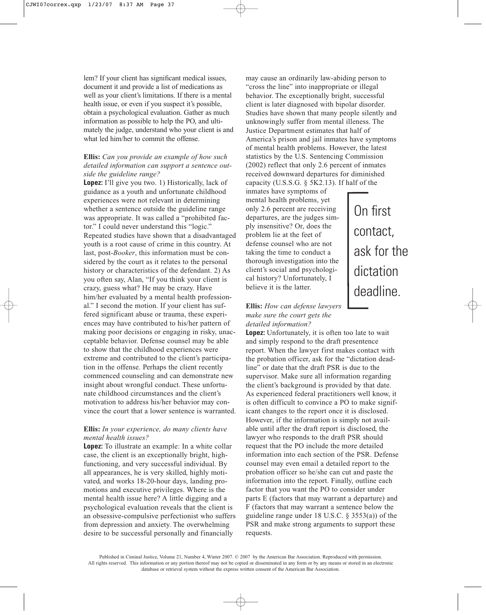lem? If your client has significant medical issues, document it and provide a list of medications as well as your client's limitations. If there is a mental health issue, or even if you suspect it's possible, obtain a psychological evaluation. Gather as much information as possible to help the PO, and ultimately the judge, understand who your client is and what led him/her to commit the offense.

#### **Ellis:** *Can you provide an example of how such detailed information can support a sentence outside the guideline range?*

**Lopez:** I'll give you two. 1) Historically, lack of guidance as a youth and unfortunate childhood experiences were not relevant in determining whether a sentence outside the guideline range was appropriate. It was called a "prohibited factor." I could never understand this "logic." Repeated studies have shown that a disadvantaged youth is a root cause of crime in this country. At last, post-*Booker*, this information must be considered by the court as it relates to the personal history or characteristics of the defendant. 2) As you often say, Alan, "If you think your client is crazy, guess what? He may be crazy. Have him/her evaluated by a mental health professional." I second the motion. If your client has suffered significant abuse or trauma, these experiences may have contributed to his/her pattern of making poor decisions or engaging in risky, unacceptable behavior. Defense counsel may be able to show that the childhood experiences were extreme and contributed to the client's participation in the offense. Perhaps the client recently commenced counseling and can demonstrate new insight about wrongful conduct. These unfortunate childhood circumstances and the client's motivation to address his/her behavior may convince the court that a lower sentence is warranted.

#### **Ellis:** *In your experience, do many clients have mental health issues?*

**Lopez:** To illustrate an example: In a white collar case, the client is an exceptionally bright, highfunctioning, and very successful individual. By all appearances, he is very skilled, highly motivated, and works 18-20-hour days, landing promotions and executive privileges. Where is the mental health issue here? A little digging and a psychological evaluation reveals that the client is an obsessive-compulsive perfectionist who suffers from depression and anxiety. The overwhelming desire to be successful personally and financially

may cause an ordinarily law-abiding person to "cross the line" into inappropriate or illegal behavior. The exceptionally bright, successful client is later diagnosed with bipolar disorder. Studies have shown that many people silently and unknowingly suffer from mental illeness. The Justice Department estimates that half of America's prison and jail inmates have symptoms of mental health problems. However, the latest statistics by the U.S. Sentencing Commission (2002) reflect that only 2.6 percent of inmates received downward departures for diminished capacity (U.S.S.G. § 5K2.13). If half of the

On first

contact,

ask for the

dictation

deadline.

inmates have symptoms of mental health problems, yet only 2.6 percent are receiving departures, are the judges simply insensitive? Or, does the problem lie at the feet of defense counsel who are not taking the time to conduct a thorough investigation into the client's social and psychological history? Unfortunately, I believe it is the latter.

### **Ellis:** *How can defense lawyers make sure the court gets the detailed information?*

**Lopez:** Unfortunately, it is often too late to wait and simply respond to the draft presentence report. When the lawyer first makes contact with the probation officer, ask for the "dictation deadline" or date that the draft PSR is due to the supervisor. Make sure all information regarding the client's background is provided by that date. As experienced federal practitioners well know, it is often difficult to convince a PO to make significant changes to the report once it is disclosed. However, if the information is simply not available until after the draft report is disclosed, the lawyer who responds to the draft PSR should request that the PO include the more detailed information into each section of the PSR. Defense counsel may even email a detailed report to the probation officer so he/she can cut and paste the information into the report. Finally, outline each factor that you want the PO to consider under parts E (factors that may warrant a departure) and F (factors that may warrant a sentence below the guideline range under 18 U.S.C.  $\S$  3553(a)) of the PSR and make strong arguments to support these requests.

Published in Ciminal Justice, Volume 21, Number 4, Winter 2007. © 2007 by the American Bar Association. Reproduced with permission. All rights reserved. This information or any portion thereof may not be copied or disseminated in any form or by any means or stored in an electronic database or retrieval system without the express written consent of the American Bar Association.